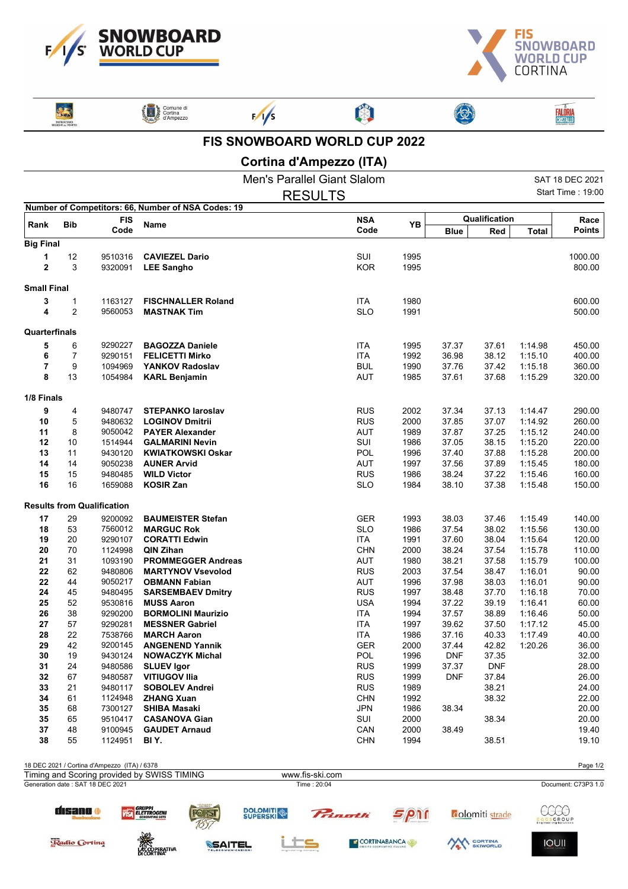



ENTROCINIC

Radio Cortina

ACCOPERATIVA

Comune di



 $\frac{1}{5}$ 



**FALÔRIA**<br>CRISTALLO

 $\bigcirc$ 

**FIS SNOWBOARD WORLD CUP 2022**

## **Cortina d'Ampezzo (ITA)**

|                    |                     |                                              |                                                    | <b>Men's Parallel Giant Slalom</b> |              |                |                        |                    | SAT 18 DEC 2021     |
|--------------------|---------------------|----------------------------------------------|----------------------------------------------------|------------------------------------|--------------|----------------|------------------------|--------------------|---------------------|
|                    |                     |                                              |                                                    | <b>RESULTS</b>                     |              |                |                        |                    | Start Time: 19:00   |
|                    |                     |                                              | Number of Competitors: 66, Number of NSA Codes: 19 |                                    |              |                |                        |                    |                     |
| Rank               | <b>Bib</b>          | <b>FIS</b>                                   | Name                                               | <b>NSA</b>                         | YB           | Qualification  |                        |                    | Race                |
|                    |                     | Code                                         |                                                    | Code                               |              | <b>Blue</b>    | Red                    | <b>Total</b>       | <b>Points</b>       |
| <b>Big Final</b>   |                     |                                              |                                                    |                                    |              |                |                        |                    |                     |
| 1                  | 12                  | 9510316                                      | <b>CAVIEZEL Dario</b>                              | SUI                                | 1995         |                |                        |                    | 1000.00             |
| $\overline{2}$     | 3                   | 9320091                                      | <b>LEE Sangho</b>                                  | <b>KOR</b>                         | 1995         |                |                        |                    | 800.00              |
| <b>Small Final</b> |                     |                                              |                                                    |                                    |              |                |                        |                    |                     |
|                    |                     |                                              |                                                    |                                    |              |                |                        |                    |                     |
| 3<br>4             | 1<br>$\overline{2}$ | 1163127<br>9560053                           | <b>FISCHNALLER Roland</b><br><b>MASTNAK Tim</b>    | <b>ITA</b><br><b>SLO</b>           | 1980<br>1991 |                |                        |                    | 600.00<br>500.00    |
|                    |                     |                                              |                                                    |                                    |              |                |                        |                    |                     |
| Quarterfinals      |                     |                                              |                                                    |                                    |              |                |                        |                    |                     |
| 5                  | 6                   | 9290227                                      | <b>BAGOZZA Daniele</b>                             | <b>ITA</b>                         | 1995         | 37.37          | 37.61                  | 1:14.98            | 450.00              |
| 6                  | 7                   | 9290151                                      | <b>FELICETTI Mirko</b>                             | <b>ITA</b>                         | 1992         | 36.98          | 38.12                  | 1:15.10            | 400.00              |
| 7                  | 9                   | 1094969                                      | <b>YANKOV Radoslav</b>                             | <b>BUL</b>                         | 1990         | 37.76          | 37.42                  | 1:15.18            | 360.00              |
| 8                  | 13                  | 1054984                                      | <b>KARL Benjamin</b>                               | <b>AUT</b>                         | 1985         | 37.61          | 37.68                  | 1:15.29            | 320.00              |
| 1/8 Finals         |                     |                                              |                                                    |                                    |              |                |                        |                    |                     |
| 9                  | 4                   | 9480747                                      | <b>STEPANKO laroslav</b>                           | RUS                                | 2002         | 37.34          | 37.13                  | 1:14.47            | 290.00              |
| 10                 | 5                   | 9480632                                      | <b>LOGINOV Dmitrii</b>                             | <b>RUS</b>                         | 2000         | 37.85          | 37.07                  | 1:14.92            | 260.00              |
| 11                 | 8                   | 9050042                                      | <b>PAYER Alexander</b>                             | <b>AUT</b>                         | 1989         | 37.87          | 37.25                  | 1:15.12            | 240.00              |
| 12                 | 10                  | 1514944                                      | <b>GALMARINI Nevin</b>                             | SUI                                | 1986         | 37.05          | 38.15                  | 1:15.20            | 220.00              |
| 13                 | 11                  | 9430120                                      | <b>KWIATKOWSKI Oskar</b>                           | POL                                | 1996         | 37.40          | 37.88                  | 1:15.28            | 200.00              |
| 14                 | 14                  | 9050238                                      | <b>AUNER Arvid</b>                                 | AUT                                | 1997         | 37.56          | 37.89                  | 1:15.45            | 180.00              |
| 15                 | 15                  | 9480485                                      | <b>WILD Victor</b>                                 | RUS                                | 1986         | 38.24          | 37.22                  | 1:15.46            | 160.00              |
| 16                 | 16                  | 1659088                                      | <b>KOSIR Zan</b>                                   | <b>SLO</b>                         | 1984         | 38.10          | 37.38                  | 1:15.48            | 150.00              |
|                    |                     | <b>Results from Qualification</b>            |                                                    |                                    |              |                |                        |                    |                     |
| 17                 | 29                  | 9200092                                      | <b>BAUMEISTER Stefan</b>                           | <b>GER</b>                         | 1993         | 38.03          | 37.46                  | 1:15.49            | 140.00              |
| 18                 | 53                  | 7560012                                      | <b>MARGUC Rok</b>                                  | <b>SLO</b>                         | 1986         | 37.54          | 38.02                  | 1:15.56            | 130.00              |
| 19                 | 20                  | 9290107                                      | <b>CORATTI Edwin</b>                               | <b>ITA</b>                         | 1991         | 37.60          | 38.04                  | 1:15.64            | 120.00              |
| 20                 | 70                  | 1124998                                      | <b>QIN Zihan</b>                                   | <b>CHN</b>                         | 2000         | 38.24          | 37.54                  | 1:15.78            | 110.00              |
| 21                 | 31                  | 1093190                                      | <b>PROMMEGGER Andreas</b>                          | <b>AUT</b>                         | 1980         | 38.21          | 37.58                  | 1:15.79            | 100.00              |
| 22                 | 62                  | 9480806                                      | <b>MARTYNOV Vsevolod</b>                           | <b>RUS</b>                         | 2003         | 37.54          | 38.47                  | 1:16.01            | 90.00               |
| 22                 | 44                  | 9050217                                      | <b>OBMANN Fabian</b>                               | AUT                                | 1996         | 37.98          | 38.03                  | 1:16.01            | 90.00               |
| 24                 | 45                  | 9480495                                      | <b>SARSEMBAEV Dmitry</b>                           | <b>RUS</b>                         | 1997         | 38.48          | 37.70                  | 1:16.18            | 70.00               |
| 25                 | 52                  | 9530816                                      | <b>MUSS Aaron</b>                                  | <b>USA</b>                         | 1994         | 37.22          | 39.19                  | 1:16.41            | 60.00               |
| 26<br>27           | 38                  | 9290200<br>9290281                           | <b>BORMOLINI Maurizio</b>                          | <b>ITA</b><br><b>ITA</b>           | 1994         | 37.57          | 38.89                  | 1:16.46            | 50.00               |
| 28                 | 57<br>22            | 7538766                                      | <b>MESSNER Gabriel</b><br><b>MARCH Aaron</b>       | <b>ITA</b>                         | 1997<br>1986 | 39.62<br>37.16 | 37.50<br>40.33         | 1:17.12<br>1:17.49 | 45.00<br>40.00      |
| 29                 | 42                  | 9200145                                      | <b>ANGENEND Yannik</b>                             | GER                                | 2000         | 37.44          | 42.82                  | 1:20.26            | 36.00               |
| 30                 | 19                  | 9430124                                      | <b>NOWACZYK Michal</b>                             | POL                                | 1996         | <b>DNF</b>     | 37.35                  |                    | 32.00               |
| 31                 | 24                  | 9480586                                      | <b>SLUEV Igor</b>                                  | <b>RUS</b>                         | 1999         | 37.37          | <b>DNF</b>             |                    | 28.00               |
| 32                 | 67                  | 9480587                                      | <b>VITIUGOV Ilia</b>                               | <b>RUS</b>                         | 1999         | <b>DNF</b>     | 37.84                  |                    | 26.00               |
| 33                 | 21                  | 9480117                                      | <b>SOBOLEV Andrei</b>                              | <b>RUS</b>                         | 1989         |                | 38.21                  |                    | 24.00               |
| 34                 | 61                  | 1124948                                      | <b>ZHANG Xuan</b>                                  | <b>CHN</b>                         | 1992         |                | 38.32                  |                    | 22.00               |
| 35                 | 68                  | 7300127                                      | <b>SHIBA Masaki</b>                                | <b>JPN</b>                         | 1986         | 38.34          |                        |                    | 20.00               |
| 35                 | 65                  | 9510417                                      | <b>CASANOVA Gian</b>                               | SUI                                | 2000         |                | 38.34                  |                    | 20.00               |
| 37                 | 48                  | 9100945                                      | <b>GAUDET Arnaud</b>                               | CAN                                | 2000         | 38.49          |                        |                    | 19.40               |
| 38                 | 55                  | 1124951                                      | BI Y.                                              | <b>CHN</b>                         | 1994         |                | 38.51                  |                    | 19.10               |
|                    |                     | 18 DEC 2021 / Cortina d'Ampezzo (ITA) / 6378 |                                                    |                                    |              |                |                        |                    | Page 1/2            |
|                    |                     |                                              | Timing and Scoring provided by SWISS TIMING        | www.fis-ski.com                    |              |                |                        |                    |                     |
|                    |                     | Generation date: SAT 18 DEC 2021             |                                                    | Time: 20:04                        |              |                |                        |                    | Document: C73P3 1.0 |
|                    | disano o            |                                              | <b>GRUPPI</b><br>ELETTROGENI                       | <b>DOLOMITI</b><br>Pringth         | 5p           |                | <b>colomiti</b> strade | <b>GSGROUP</b>     |                     |

كتا

SSAITEL



AN CORTINA